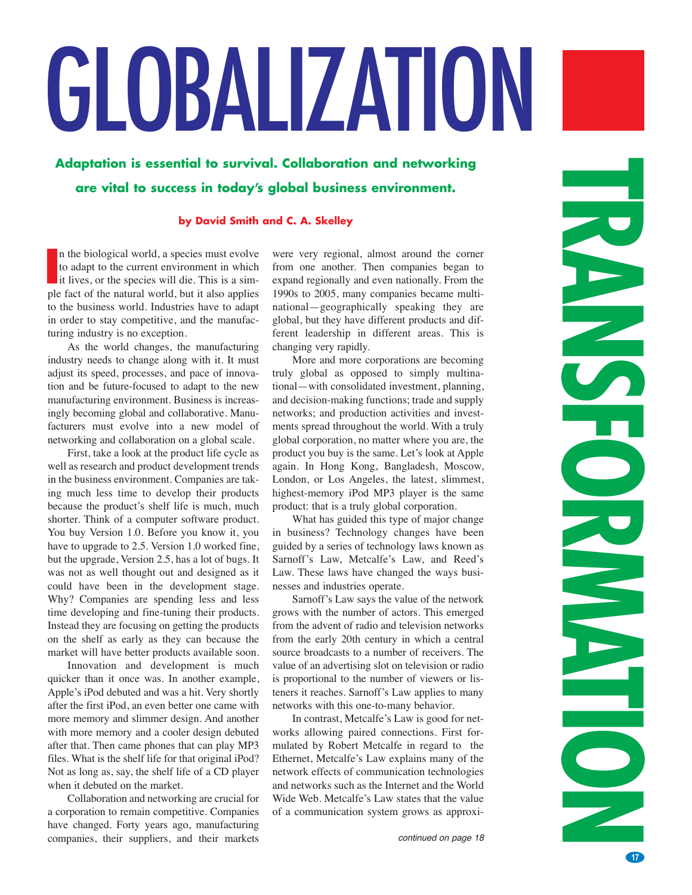# GLOBALIZATION

**Adaptation is essential to survival. Collaboration and networking are vital to success in today's global business environment.**

# **by David Smith and C. A. Skelley**

n the biological world, a species must evolve to adapt to the current environment in which it lives, or the species will die. This is a sim-If the biological world, a species must evolve<br>to adapt to the current environment in which<br>it lives, or the species will die. This is a sim-<br>ple fact of the natural world, but it also applies to the business world. Industries have to adapt in order to stay competitive, and the manufacturing industry is no exception.

As the world changes, the manufacturing industry needs to change along with it. It must adjust its speed, processes, and pace of innovation and be future-focused to adapt to the new manufacturing environment. Business is increasingly becoming global and collaborative. Manufacturers must evolve into a new model of networking and collaboration on a global scale.

First, take a look at the product life cycle as well as research and product development trends in the business environment. Companies are taking much less time to develop their products because the product's shelf life is much, much shorter. Think of a computer software product. You buy Version 1.0. Before you know it, you have to upgrade to 2.5. Version 1.0 worked fine, but the upgrade, Version 2.5, has a lot of bugs. It was not as well thought out and designed as it could have been in the development stage. Why? Companies are spending less and less time developing and fine-tuning their products. Instead they are focusing on getting the products on the shelf as early as they can because the market will have better products available soon.

Innovation and development is much quicker than it once was. In another example, Apple's iPod debuted and was a hit. Very shortly after the first iPod, an even better one came with more memory and slimmer design. And another with more memory and a cooler design debuted after that. Then came phones that can play MP3 files. What is the shelf life for that original iPod? Not as long as, say, the shelf life of a CD player when it debuted on the market.

Collaboration and networking are crucial for a corporation to remain competitive. Companies have changed. Forty years ago, manufacturing companies, their suppliers, and their markets were very regional, almost around the corner from one another. Then companies began to expand regionally and even nationally. From the 1990s to 2005, many companies became multinational—geographically speaking they are global, but they have different products and different leadership in different areas. This is changing very rapidly.

More and more corporations are becoming truly global as opposed to simply multinational—with consolidated investment, planning, and decision-making functions; trade and supply networks; and production activities and investments spread throughout the world. With a truly global corporation, no matter where you are, the product you buy is the same. Let's look at Apple again. In Hong Kong, Bangladesh, Moscow, London, or Los Angeles, the latest, slimmest, highest-memory iPod MP3 player is the same product: that is a truly global corporation.

What has guided this type of major change in business? Technology changes have been guided by a series of technology laws known as Sarnoff's Law, Metcalfe's Law, and Reed's Law. These laws have changed the ways businesses and industries operate.

Sarnoff's Law says the value of the network grows with the number of actors. This emerged from the advent of radio and television networks from the early 20th century in which a central source broadcasts to a number of receivers. The value of an advertising slot on television or radio is proportional to the number of viewers or listeners it reaches. Sarnoff's Law applies to many networks with this one-to-many behavior.

In contrast, Metcalfe's Law is good for networks allowing paired connections. First formulated by Robert Metcalfe in regard to the Ethernet, Metcalfe's Law explains many of the network effects of communication technologies and networks such as the Internet and the World Wide Web. Metcalfe's Law states that the value of a communication system grows as approxi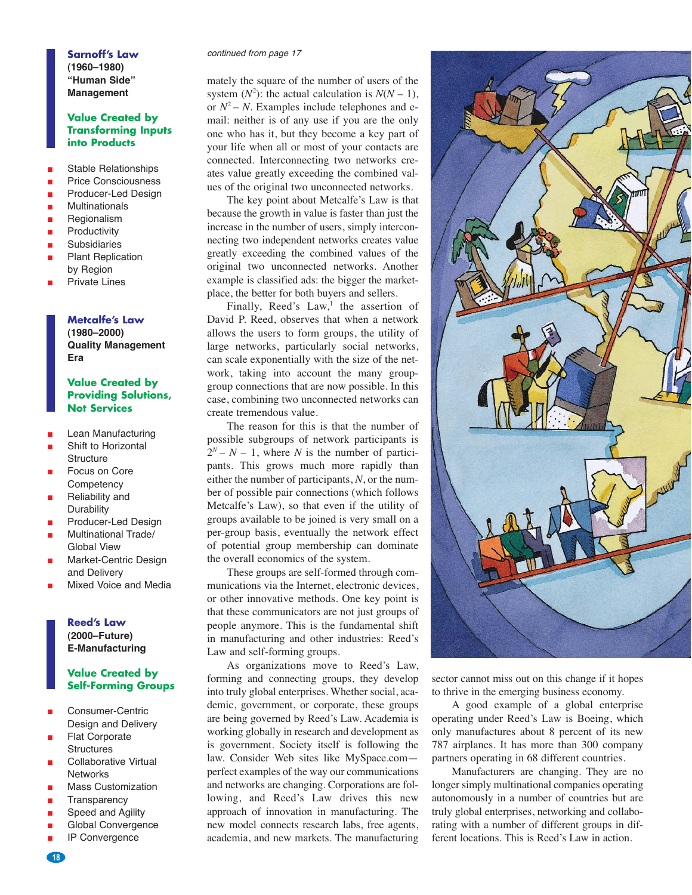**(1960–1980) "Human Side" Management**

# **Value Created by Transforming Inputs into Products**

- Stable Relationships
- Price Consciousness
- Producer-Led Design
- Multinationals
- Regionalism
- Productivity
- **Subsidiaries**
- **Plant Replication** by Region
- **Private Lines**

**Metcalfe's Law (1980–2000) Quality Management Era**

### **Value Created by Providing Solutions, Not Services**

- **Lean Manufacturing**
- Shift to Horizontal **Structure**
- Focus on Core **Competency**
- Reliability and **Durability**
- Producer-Led Design
- Multinational Trade/ Global View
- Market-Centric Design and Delivery
- **Mixed Voice and Media**

**Reed's Law (2000–Future) E-Manufacturing**

# **Value Created by Self-Forming Groups**

- Consumer-Centric Design and Delivery
- **Flat Corporate Structures**
- Collaborative Virtual **Networks**
- Mass Customization
- **Transparency**
- Speed and Agility
- Global Convergence
- IP Convergence

**18**

#### **Sarnoff's Law** continued from page 17

mately the square of the number of users of the system  $(N^2)$ : the actual calculation is  $N(N-1)$ , or  $N^2$  – N. Examples include telephones and email: neither is of any use if you are the only one who has it, but they become a key part of your life when all or most of your contacts are connected. Interconnecting two networks creates value greatly exceeding the combined values of the original two unconnected networks.

The key point about Metcalfe's Law is that because the growth in value is faster than just the increase in the number of users, simply interconnecting two independent networks creates value greatly exceeding the combined values of the original two unconnected networks. Another example is classified ads: the bigger the marketplace, the better for both buyers and sellers.

Finally, Reed's  $Law<sup>1</sup>$ , the assertion of David P. Reed, observes that when a network allows the users to form groups, the utility of large networks, particularly social networks, can scale exponentially with the size of the network, taking into account the many groupgroup connections that are now possible. In this case, combining two unconnected networks can create tremendous value.

The reason for this is that the number of possible subgroups of network participants is  $2^N - N - 1$ , where *N* is the number of participants. This grows much more rapidly than either the number of participants, *N*, or the number of possible pair connections (which follows Metcalfe's Law), so that even if the utility of groups available to be joined is very small on a per-group basis, eventually the network effect of potential group membership can dominate the overall economics of the system.

These groups are self-formed through communications via the Internet, electronic devices, or other innovative methods. One key point is that these communicators are not just groups of people anymore. This is the fundamental shift in manufacturing and other industries: Reed's Law and self-forming groups.

As organizations move to Reed's Law, forming and connecting groups, they develop into truly global enterprises. Whether social, academic, government, or corporate, these groups are being governed by Reed's Law. Academia is working globally in research and development as is government. Society itself is following the law. Consider Web sites like MySpace.com perfect examples of the way our communications and networks are changing. Corporations are following, and Reed's Law drives this new approach of innovation in manufacturing. The new model connects research labs, free agents, academia, and new markets. The manufacturing



sector cannot miss out on this change if it hopes to thrive in the emerging business economy.

A good example of a global enterprise operating under Reed's Law is Boeing, which only manufactures about 8 percent of its new 787 airplanes. It has more than 300 company partners operating in 68 different countries.

Manufacturers are changing. They are no longer simply multinational companies operating autonomously in a number of countries but are truly global enterprises, networking and collaborating with a number of different groups in different locations. This is Reed's Law in action.